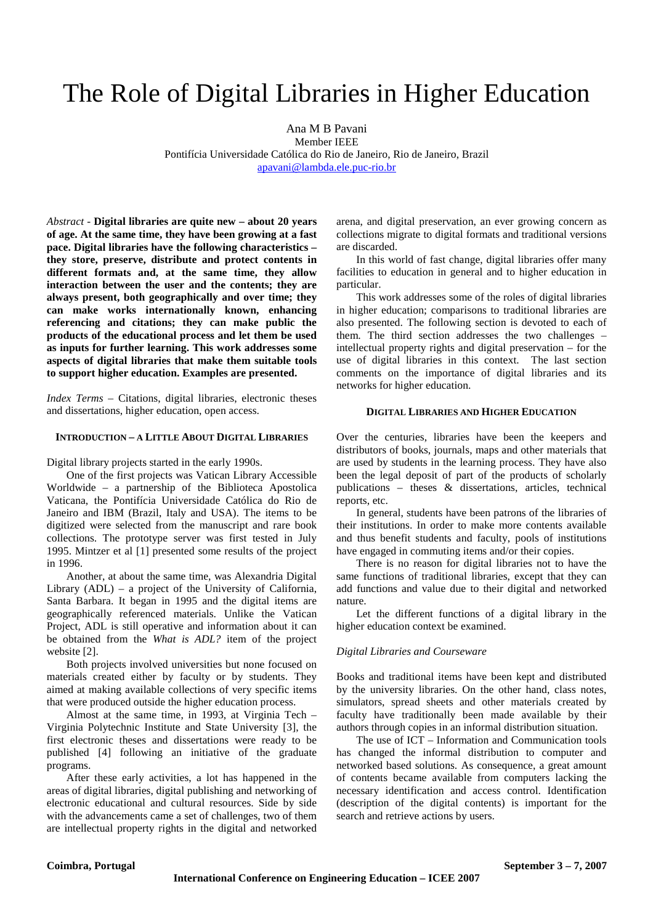# The Role of Digital Libraries in Higher Education

Ana M B Pavani

Member IEEE Pontifícia Universidade Católica do Rio de Janeiro, Rio de Janeiro, Brazil apavani@lambda.ele.puc-rio.br

*Abstract* - **Digital libraries are quite new – about 20 years of age. At the same time, they have been growing at a fast pace. Digital libraries have the following characteristics – they store, preserve, distribute and protect contents in different formats and, at the same time, they allow interaction between the user and the contents; they are always present, both geographically and over time; they can make works internationally known, enhancing referencing and citations; they can make public the products of the educational process and let them be used as inputs for further learning. This work addresses some aspects of digital libraries that make them suitable tools to support higher education. Examples are presented.** 

*Index Terms* – Citations, digital libraries, electronic theses and dissertations, higher education, open access.

## **INTRODUCTION – A LITTLE ABOUT DIGITAL LIBRARIES**

Digital library projects started in the early 1990s.

One of the first projects was Vatican Library Accessible Worldwide – a partnership of the Biblioteca Apostolica Vaticana, the Pontifícia Universidade Católica do Rio de Janeiro and IBM (Brazil, Italy and USA). The items to be digitized were selected from the manuscript and rare book collections. The prototype server was first tested in July 1995. Mintzer et al [1] presented some results of the project in 1996.

Another, at about the same time, was Alexandria Digital Library (ADL) – a project of the University of California, Santa Barbara. It began in 1995 and the digital items are geographically referenced materials. Unlike the Vatican Project, ADL is still operative and information about it can be obtained from the *What is ADL?* item of the project website [2].

Both projects involved universities but none focused on materials created either by faculty or by students. They aimed at making available collections of very specific items that were produced outside the higher education process.

Almost at the same time, in 1993, at Virginia Tech – Virginia Polytechnic Institute and State University [3], the first electronic theses and dissertations were ready to be published [4] following an initiative of the graduate programs.

After these early activities, a lot has happened in the areas of digital libraries, digital publishing and networking of electronic educational and cultural resources. Side by side with the advancements came a set of challenges, two of them are intellectual property rights in the digital and networked arena, and digital preservation, an ever growing concern as collections migrate to digital formats and traditional versions are discarded.

In this world of fast change, digital libraries offer many facilities to education in general and to higher education in particular.

This work addresses some of the roles of digital libraries in higher education; comparisons to traditional libraries are also presented. The following section is devoted to each of them. The third section addresses the two challenges – intellectual property rights and digital preservation – for the use of digital libraries in this context. The last section comments on the importance of digital libraries and its networks for higher education.

#### **DIGITAL LIBRARIES AND HIGHER EDUCATION**

Over the centuries, libraries have been the keepers and distributors of books, journals, maps and other materials that are used by students in the learning process. They have also been the legal deposit of part of the products of scholarly publications – theses & dissertations, articles, technical reports, etc.

In general, students have been patrons of the libraries of their institutions. In order to make more contents available and thus benefit students and faculty, pools of institutions have engaged in commuting items and/or their copies.

There is no reason for digital libraries not to have the same functions of traditional libraries, except that they can add functions and value due to their digital and networked nature.

Let the different functions of a digital library in the higher education context be examined.

#### *Digital Libraries and Courseware*

Books and traditional items have been kept and distributed by the university libraries. On the other hand, class notes, simulators, spread sheets and other materials created by faculty have traditionally been made available by their authors through copies in an informal distribution situation.

 The use of ICT – Information and Communication tools has changed the informal distribution to computer and networked based solutions. As consequence, a great amount of contents became available from computers lacking the necessary identification and access control. Identification (description of the digital contents) is important for the search and retrieve actions by users.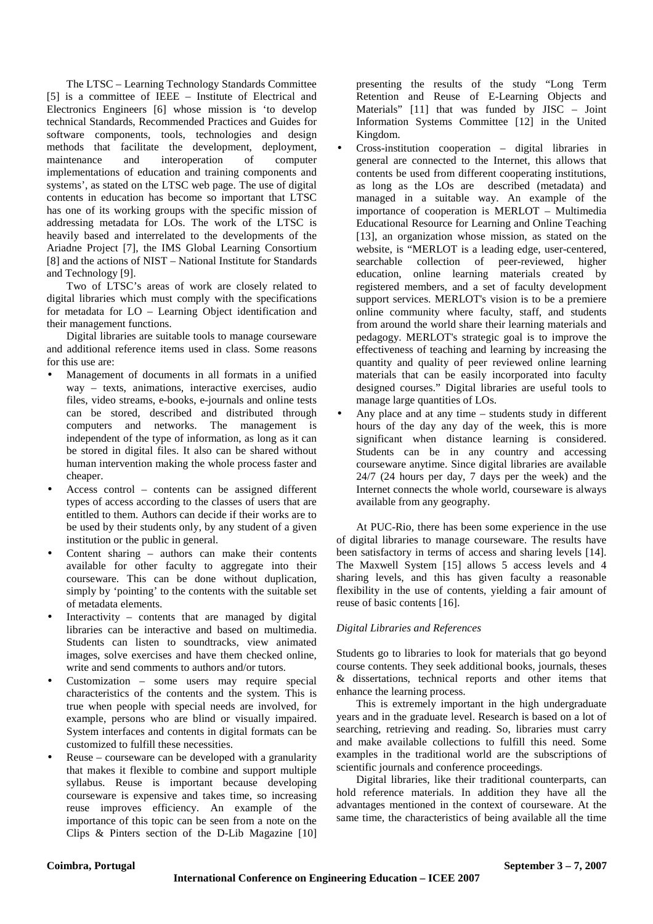The LTSC – Learning Technology Standards Committee [5] is a committee of IEEE – Institute of Electrical and Electronics Engineers [6] whose mission is 'to develop technical Standards, Recommended Practices and Guides for software components, tools, technologies and design methods that facilitate the development, deployment, maintenance and interoperation of computer implementations of education and training components and systems', as stated on the LTSC web page. The use of digital contents in education has become so important that LTSC has one of its working groups with the specific mission of addressing metadata for LOs. The work of the LTSC is heavily based and interrelated to the developments of the Ariadne Project [7], the IMS Global Learning Consortium [8] and the actions of NIST – National Institute for Standards and Technology [9].

Two of LTSC's areas of work are closely related to digital libraries which must comply with the specifications for metadata for LO – Learning Object identification and their management functions.

Digital libraries are suitable tools to manage courseware and additional reference items used in class. Some reasons for this use are:

- Management of documents in all formats in a unified way – texts, animations, interactive exercises, audio files, video streams, e-books, e-journals and online tests can be stored, described and distributed through computers and networks. The management is independent of the type of information, as long as it can be stored in digital files. It also can be shared without human intervention making the whole process faster and cheaper.
- Access control contents can be assigned different types of access according to the classes of users that are entitled to them. Authors can decide if their works are to be used by their students only, by any student of a given institution or the public in general.
- Content sharing  $-$  authors can make their contents available for other faculty to aggregate into their courseware. This can be done without duplication, simply by 'pointing' to the contents with the suitable set of metadata elements.
- Interactivity contents that are managed by digital libraries can be interactive and based on multimedia. Students can listen to soundtracks, view animated images, solve exercises and have them checked online, write and send comments to authors and/or tutors.
- Customization some users may require special characteristics of the contents and the system. This is true when people with special needs are involved, for example, persons who are blind or visually impaired. System interfaces and contents in digital formats can be customized to fulfill these necessities.
- Reuse courseware can be developed with a granularity that makes it flexible to combine and support multiple syllabus. Reuse is important because developing courseware is expensive and takes time, so increasing reuse improves efficiency. An example of the importance of this topic can be seen from a note on the Clips & Pinters section of the D-Lib Magazine [10]

presenting the results of the study "Long Term Retention and Reuse of E-Learning Objects and Materials" [11] that was funded by JISC – Joint Information Systems Committee [12] in the United Kingdom.

- Cross-institution cooperation digital libraries in general are connected to the Internet, this allows that contents be used from different cooperating institutions, as long as the LOs are described (metadata) and managed in a suitable way. An example of the importance of cooperation is MERLOT – Multimedia Educational Resource for Learning and Online Teaching [13], an organization whose mission, as stated on the website, is "MERLOT is a leading edge, user-centered, searchable collection of peer-reviewed, higher education, online learning materials created by registered members, and a set of faculty development support services. MERLOT's vision is to be a premiere online community where faculty, staff, and students from around the world share their learning materials and pedagogy. MERLOT's strategic goal is to improve the effectiveness of teaching and learning by increasing the quantity and quality of peer reviewed online learning materials that can be easily incorporated into faculty designed courses." Digital libraries are useful tools to manage large quantities of LOs.
- Any place and at any time  $-$  students study in different hours of the day any day of the week, this is more significant when distance learning is considered. Students can be in any country and accessing courseware anytime. Since digital libraries are available 24/7 (24 hours per day, 7 days per the week) and the Internet connects the whole world, courseware is always available from any geography.

At PUC-Rio, there has been some experience in the use of digital libraries to manage courseware. The results have been satisfactory in terms of access and sharing levels [14]. The Maxwell System [15] allows 5 access levels and 4 sharing levels, and this has given faculty a reasonable flexibility in the use of contents, yielding a fair amount of reuse of basic contents [16].

# *Digital Libraries and References*

Students go to libraries to look for materials that go beyond course contents. They seek additional books, journals, theses & dissertations, technical reports and other items that enhance the learning process.

This is extremely important in the high undergraduate years and in the graduate level. Research is based on a lot of searching, retrieving and reading. So, libraries must carry and make available collections to fulfill this need. Some examples in the traditional world are the subscriptions of scientific journals and conference proceedings.

Digital libraries, like their traditional counterparts, can hold reference materials. In addition they have all the advantages mentioned in the context of courseware. At the same time, the characteristics of being available all the time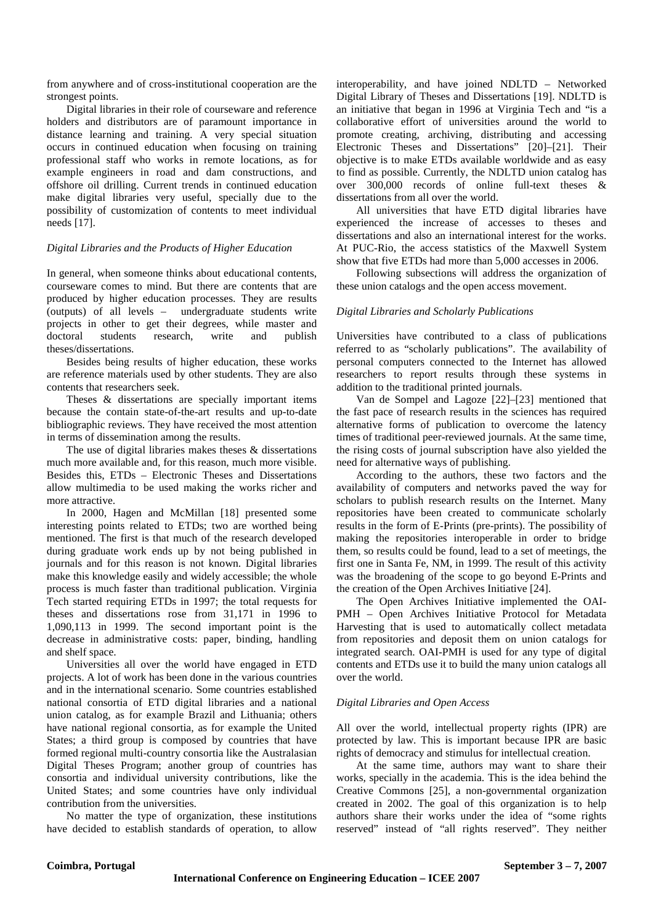from anywhere and of cross-institutional cooperation are the strongest points.

Digital libraries in their role of courseware and reference holders and distributors are of paramount importance in distance learning and training. A very special situation occurs in continued education when focusing on training professional staff who works in remote locations, as for example engineers in road and dam constructions, and offshore oil drilling. Current trends in continued education make digital libraries very useful, specially due to the possibility of customization of contents to meet individual needs [17].

# *Digital Libraries and the Products of Higher Education*

In general, when someone thinks about educational contents, courseware comes to mind. But there are contents that are produced by higher education processes. They are results (outputs) of all levels – undergraduate students write projects in other to get their degrees, while master and doctoral students research, write and publish theses/dissertations.

Besides being results of higher education, these works are reference materials used by other students. They are also contents that researchers seek.

Theses & dissertations are specially important items because the contain state-of-the-art results and up-to-date bibliographic reviews. They have received the most attention in terms of dissemination among the results.

The use of digital libraries makes theses & dissertations much more available and, for this reason, much more visible. Besides this, ETDs – Electronic Theses and Dissertations allow multimedia to be used making the works richer and more attractive.

In 2000, Hagen and McMillan [18] presented some interesting points related to ETDs; two are worthed being mentioned. The first is that much of the research developed during graduate work ends up by not being published in journals and for this reason is not known. Digital libraries make this knowledge easily and widely accessible; the whole process is much faster than traditional publication. Virginia Tech started requiring ETDs in 1997; the total requests for theses and dissertations rose from 31,171 in 1996 to 1,090,113 in 1999. The second important point is the decrease in administrative costs: paper, binding, handling and shelf space.

Universities all over the world have engaged in ETD projects. A lot of work has been done in the various countries and in the international scenario. Some countries established national consortia of ETD digital libraries and a national union catalog, as for example Brazil and Lithuania; others have national regional consortia, as for example the United States; a third group is composed by countries that have formed regional multi-country consortia like the Australasian Digital Theses Program; another group of countries has consortia and individual university contributions, like the United States; and some countries have only individual contribution from the universities.

No matter the type of organization, these institutions have decided to establish standards of operation, to allow interoperability, and have joined NDLTD – Networked Digital Library of Theses and Dissertations [19]. NDLTD is an initiative that began in 1996 at Virginia Tech and "is a collaborative effort of universities around the world to promote creating, archiving, distributing and accessing Electronic Theses and Dissertations" [20]–[21]. Their objective is to make ETDs available worldwide and as easy to find as possible. Currently, the NDLTD union catalog has over 300,000 records of online full-text theses & dissertations from all over the world.

All universities that have ETD digital libraries have experienced the increase of accesses to theses and dissertations and also an international interest for the works. At PUC-Rio, the access statistics of the Maxwell System show that five ETDs had more than 5,000 accesses in 2006.

Following subsections will address the organization of these union catalogs and the open access movement.

## *Digital Libraries and Scholarly Publications*

Universities have contributed to a class of publications referred to as "scholarly publications". The availability of personal computers connected to the Internet has allowed researchers to report results through these systems in addition to the traditional printed journals.

Van de Sompel and Lagoze [22]–[23] mentioned that the fast pace of research results in the sciences has required alternative forms of publication to overcome the latency times of traditional peer-reviewed journals. At the same time, the rising costs of journal subscription have also yielded the need for alternative ways of publishing.

According to the authors, these two factors and the availability of computers and networks paved the way for scholars to publish research results on the Internet. Many repositories have been created to communicate scholarly results in the form of E-Prints (pre-prints). The possibility of making the repositories interoperable in order to bridge them, so results could be found, lead to a set of meetings, the first one in Santa Fe, NM, in 1999. The result of this activity was the broadening of the scope to go beyond E-Prints and the creation of the Open Archives Initiative [24].

The Open Archives Initiative implemented the OAI-PMH – Open Archives Initiative Protocol for Metadata Harvesting that is used to automatically collect metadata from repositories and deposit them on union catalogs for integrated search. OAI-PMH is used for any type of digital contents and ETDs use it to build the many union catalogs all over the world.

## *Digital Libraries and Open Access*

All over the world, intellectual property rights (IPR) are protected by law. This is important because IPR are basic rights of democracy and stimulus for intellectual creation.

At the same time, authors may want to share their works, specially in the academia. This is the idea behind the Creative Commons [25], a non-governmental organization created in 2002. The goal of this organization is to help authors share their works under the idea of "some rights reserved" instead of "all rights reserved". They neither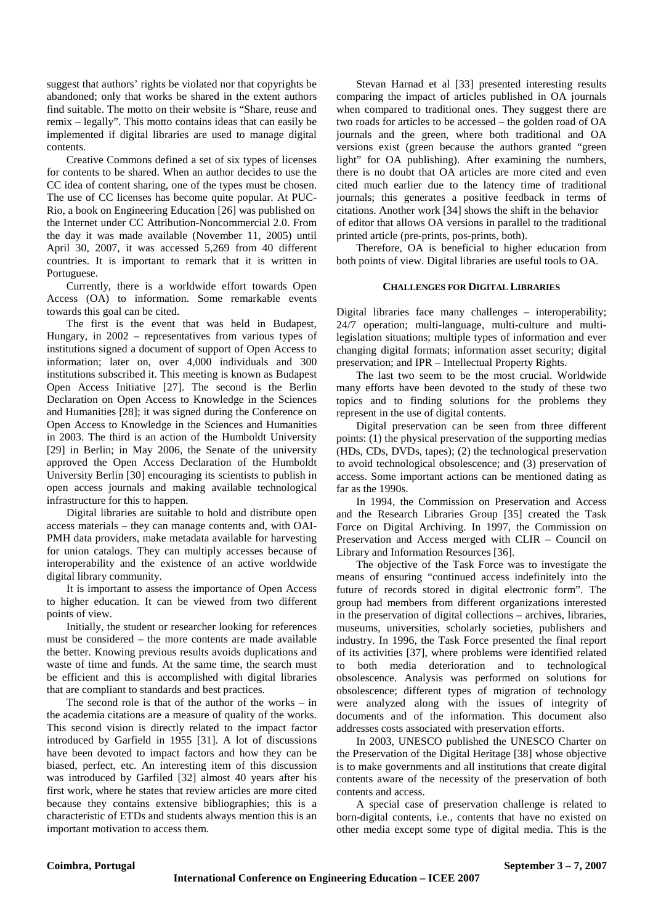suggest that authors' rights be violated nor that copyrights be abandoned; only that works be shared in the extent authors find suitable. The motto on their website is "Share, reuse and remix – legally". This motto contains ideas that can easily be implemented if digital libraries are used to manage digital contents.

Creative Commons defined a set of six types of licenses for contents to be shared. When an author decides to use the CC idea of content sharing, one of the types must be chosen. The use of CC licenses has become quite popular. At PUC-Rio, a book on Engineering Education [26] was published on the Internet under CC Attribution-Noncommercial 2.0. From the day it was made available (November 11, 2005) until April 30, 2007, it was accessed 5,269 from 40 different countries. It is important to remark that it is written in Portuguese.

Currently, there is a worldwide effort towards Open Access (OA) to information. Some remarkable events towards this goal can be cited.

The first is the event that was held in Budapest, Hungary, in 2002 – representatives from various types of institutions signed a document of support of Open Access to information; later on, over 4,000 individuals and 300 institutions subscribed it. This meeting is known as Budapest Open Access Initiative [27]. The second is the Berlin Declaration on Open Access to Knowledge in the Sciences and Humanities [28]; it was signed during the Conference on Open Access to Knowledge in the Sciences and Humanities in 2003. The third is an action of the Humboldt University [29] in Berlin; in May 2006, the Senate of the university approved the Open Access Declaration of the Humboldt University Berlin [30] encouraging its scientists to publish in open access journals and making available technological infrastructure for this to happen.

Digital libraries are suitable to hold and distribute open access materials – they can manage contents and, with OAI-PMH data providers, make metadata available for harvesting for union catalogs. They can multiply accesses because of interoperability and the existence of an active worldwide digital library community.

It is important to assess the importance of Open Access to higher education. It can be viewed from two different points of view.

Initially, the student or researcher looking for references must be considered – the more contents are made available the better. Knowing previous results avoids duplications and waste of time and funds. At the same time, the search must be efficient and this is accomplished with digital libraries that are compliant to standards and best practices.

The second role is that of the author of the works – in the academia citations are a measure of quality of the works. This second vision is directly related to the impact factor introduced by Garfield in 1955 [31]. A lot of discussions have been devoted to impact factors and how they can be biased, perfect, etc. An interesting item of this discussion was introduced by Garfiled [32] almost 40 years after his first work, where he states that review articles are more cited because they contains extensive bibliographies; this is a characteristic of ETDs and students always mention this is an important motivation to access them.

Stevan Harnad et al [33] presented interesting results comparing the impact of articles published in OA journals when compared to traditional ones. They suggest there are two roads for articles to be accessed – the golden road of OA journals and the green, where both traditional and OA versions exist (green because the authors granted "green light" for OA publishing). After examining the numbers, there is no doubt that OA articles are more cited and even cited much earlier due to the latency time of traditional journals; this generates a positive feedback in terms of citations. Another work [34] shows the shift in the behavior of editor that allows OA versions in parallel to the traditional printed article (pre-prints, pos-prints, both).

Therefore, OA is beneficial to higher education from both points of view. Digital libraries are useful tools to OA.

## **CHALLENGES FOR DIGITAL LIBRARIES**

Digital libraries face many challenges – interoperability; 24/7 operation; multi-language, multi-culture and multilegislation situations; multiple types of information and ever changing digital formats; information asset security; digital preservation; and IPR – Intellectual Property Rights.

 The last two seem to be the most crucial. Worldwide many efforts have been devoted to the study of these two topics and to finding solutions for the problems they represent in the use of digital contents.

 Digital preservation can be seen from three different points: (1) the physical preservation of the supporting medias (HDs, CDs, DVDs, tapes); (2) the technological preservation to avoid technological obsolescence; and (3) preservation of access. Some important actions can be mentioned dating as far as the 1990s.

 In 1994, the Commission on Preservation and Access and the Research Libraries Group [35] created the Task Force on Digital Archiving. In 1997, the Commission on Preservation and Access merged with CLIR – Council on Library and Information Resources [36].

 The objective of the Task Force was to investigate the means of ensuring "continued access indefinitely into the future of records stored in digital electronic form". The group had members from different organizations interested in the preservation of digital collections – archives, libraries, museums, universities, scholarly societies, publishers and industry. In 1996, the Task Force presented the final report of its activities [37], where problems were identified related to both media deterioration and to technological obsolescence. Analysis was performed on solutions for obsolescence; different types of migration of technology were analyzed along with the issues of integrity of documents and of the information. This document also addresses costs associated with preservation efforts.

 In 2003, UNESCO published the UNESCO Charter on the Preservation of the Digital Heritage [38] whose objective is to make governments and all institutions that create digital contents aware of the necessity of the preservation of both contents and access.

 A special case of preservation challenge is related to born-digital contents, i.e., contents that have no existed on other media except some type of digital media. This is the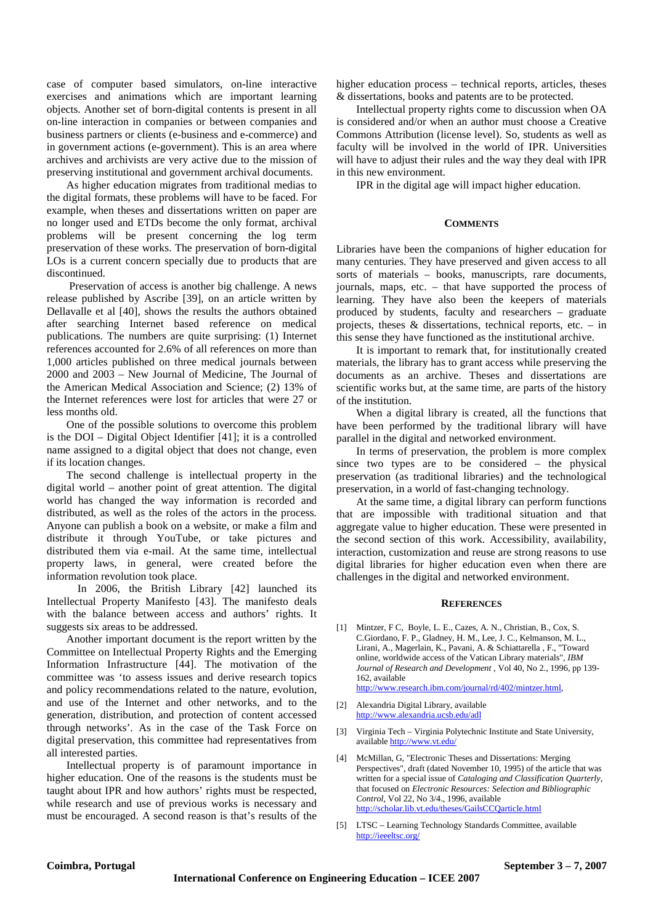case of computer based simulators, on-line interactive exercises and animations which are important learning objects. Another set of born-digital contents is present in all on-line interaction in companies or between companies and business partners or clients (e-business and e-commerce) and in government actions (e-government). This is an area where archives and archivists are very active due to the mission of preserving institutional and government archival documents.

 As higher education migrates from traditional medias to the digital formats, these problems will have to be faced. For example, when theses and dissertations written on paper are no longer used and ETDs become the only format, archival problems will be present concerning the log term preservation of these works. The preservation of born-digital LOs is a current concern specially due to products that are discontinued.

 Preservation of access is another big challenge. A news release published by Ascribe [39], on an article written by Dellavalle et al [40], shows the results the authors obtained after searching Internet based reference on medical publications. The numbers are quite surprising: (1) Internet references accounted for 2.6% of all references on more than 1,000 articles published on three medical journals between 2000 and 2003 – New Journal of Medicine, The Journal of the American Medical Association and Science; (2) 13% of the Internet references were lost for articles that were 27 or less months old.

 One of the possible solutions to overcome this problem is the DOI – Digital Object Identifier [41]; it is a controlled name assigned to a digital object that does not change, even if its location changes.

 The second challenge is intellectual property in the digital world – another point of great attention. The digital world has changed the way information is recorded and distributed, as well as the roles of the actors in the process. Anyone can publish a book on a website, or make a film and distribute it through YouTube, or take pictures and distributed them via e-mail. At the same time, intellectual property laws, in general, were created before the information revolution took place.

 In 2006, the British Library [42] launched its Intellectual Property Manifesto [43]. The manifesto deals with the balance between access and authors' rights. It suggests six areas to be addressed.

 Another important document is the report written by the Committee on Intellectual Property Rights and the Emerging Information Infrastructure [44]. The motivation of the committee was 'to assess issues and derive research topics and policy recommendations related to the nature, evolution, and use of the Internet and other networks, and to the generation, distribution, and protection of content accessed through networks'. As in the case of the Task Force on digital preservation, this committee had representatives from all interested parties.

 Intellectual property is of paramount importance in higher education. One of the reasons is the students must be taught about IPR and how authors' rights must be respected, while research and use of previous works is necessary and must be encouraged. A second reason is that's results of the

higher education process – technical reports, articles, theses & dissertations, books and patents are to be protected.

 Intellectual property rights come to discussion when OA is considered and/or when an author must choose a Creative Commons Attribution (license level). So, students as well as faculty will be involved in the world of IPR. Universities will have to adjust their rules and the way they deal with IPR in this new environment.

IPR in the digital age will impact higher education.

#### **COMMENTS**

Libraries have been the companions of higher education for many centuries. They have preserved and given access to all sorts of materials – books, manuscripts, rare documents, journals, maps, etc. – that have supported the process of learning. They have also been the keepers of materials produced by students, faculty and researchers – graduate projects, theses  $\&$  dissertations, technical reports, etc. – in this sense they have functioned as the institutional archive.

It is important to remark that, for institutionally created materials, the library has to grant access while preserving the documents as an archive. Theses and dissertations are scientific works but, at the same time, are parts of the history of the institution.

When a digital library is created, all the functions that have been performed by the traditional library will have parallel in the digital and networked environment.

In terms of preservation, the problem is more complex since two types are to be considered – the physical preservation (as traditional libraries) and the technological preservation, in a world of fast-changing technology.

At the same time, a digital library can perform functions that are impossible with traditional situation and that aggregate value to higher education. These were presented in the second section of this work. Accessibility, availability, interaction, customization and reuse are strong reasons to use digital libraries for higher education even when there are challenges in the digital and networked environment.

#### **REFERENCES**

[1] Mintzer, F C, Boyle, L. E., Cazes, A. N., Christian, B., Cox, S. C.Giordano, F. P., Gladney, H. M., Lee, J. C., Kelmanson, M. L., Lirani, A., Magerlain, K., Pavani, A. & Schiattarella , F., "Toward online, worldwide access of the Vatican Library materials", *IBM Journal of Research and Development ,* Vol 40, No 2., 1996, pp 139- 162, available

http://www.research.ibm.com/journal/rd/402/mintzer.html,

- [2] Alexandria Digital Library, available http://www.alexandria.ucsb.edu/adl
- [3] Virginia Tech Virginia Polytechnic Institute and State University, available http://www.vt.edu/
- [4] McMillan, G, "Electronic Theses and Dissertations: Merging Perspectives", draft (dated November 10, 1995) of the article that was written for a special issue of *Cataloging and Classification Quarterly,* that focused on *Electronic Resources: Selection and Bibliographic Control*, Vol 22, No 3/4., 1996, available http://scholar.lib.vt.edu/theses/GailsCCQarticle.html
- [5] LTSC Learning Technology Standards Committee, available http://ieeeltsc.org/